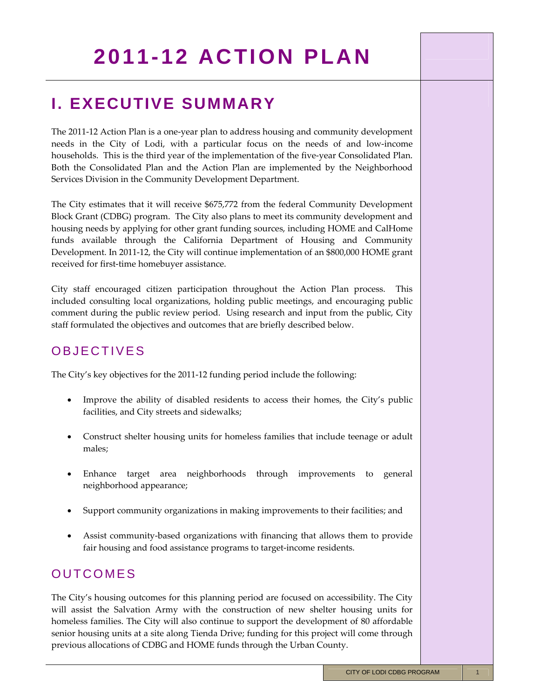## **I. EXECUTIVE SUMMARY**

The 2011-12 Action Plan is a one-year plan to address housing and community development needs in the City of Lodi, with a particular focus on the needs of and low‐income households. This is the third year of the implementation of the five-year Consolidated Plan. Both the Consolidated Plan and the Action Plan are implemented by the Neighborhood Services Division in the Community Development Department.

The City estimates that it will receive \$675,772 from the federal Community Development Block Grant (CDBG) program. The City also plans to meet its community development and housing needs by applying for other grant funding sources, including HOME and CalHome funds available through the California Department of Housing and Community Development. In 2011‐12, the City will continue implementation of an \$800,000 HOME grant received for first‐time homebuyer assistance.

City staff encouraged citizen participation throughout the Action Plan process. This included consulting local organizations, holding public meetings, and encouraging public comment during the public review period. Using research and input from the public, City staff formulated the objectives and outcomes that are briefly described below.

## OBJECTIVES

The City's key objectives for the 2011‐12 funding period include the following:

- Improve the ability of disabled residents to access their homes, the City's public facilities, and City streets and sidewalks;
- Construct shelter housing units for homeless families that include teenage or adult males;
- Enhance target area neighborhoods through improvements to general neighborhood appearance;
- Support community organizations in making improvements to their facilities; and
- Assist community‐based organizations with financing that allows them to provide fair housing and food assistance programs to target-income residents.

## OUTCOMES

The City's housing outcomes for this planning period are focused on accessibility. The City will assist the Salvation Army with the construction of new shelter housing units for homeless families. The City will also continue to support the development of 80 affordable senior housing units at a site along Tienda Drive; funding for this project will come through previous allocations of CDBG and HOME funds through the Urban County.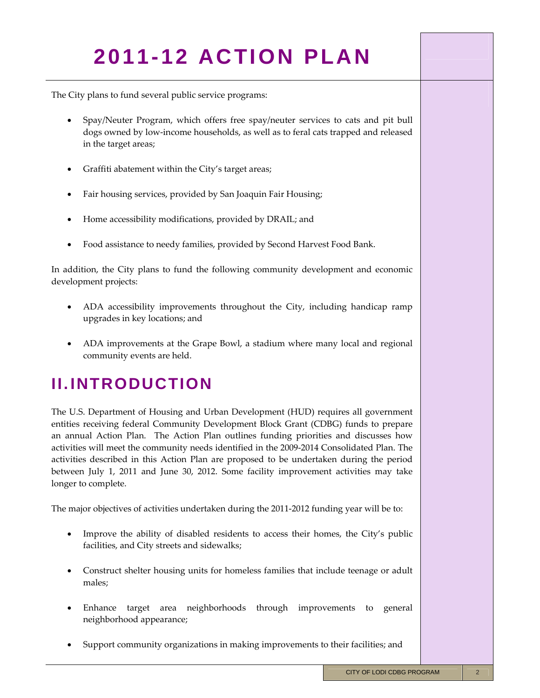The City plans to fund several public service programs:

- Spay/Neuter Program, which offers free spay/neuter services to cats and pit bull dogs owned by low‐income households, as well as to feral cats trapped and released in the target areas;
- Graffiti abatement within the City's target areas;
- Fair housing services, provided by San Joaquin Fair Housing;
- Home accessibility modifications, provided by DRAIL; and
- Food assistance to needy families, provided by Second Harvest Food Bank.

In addition, the City plans to fund the following community development and economic development projects:

- ADA accessibility improvements throughout the City, including handicap ramp upgrades in key locations; and
- ADA improvements at the Grape Bowl, a stadium where many local and regional community events are held.

## **II. INTRODUCTION**

The U.S. Department of Housing and Urban Development (HUD) requires all government entities receiving federal Community Development Block Grant (CDBG) funds to prepare an annual Action Plan. The Action Plan outlines funding priorities and discusses how activities will meet the community needs identified in the 2009‐2014 Consolidated Plan. The activities described in this Action Plan are proposed to be undertaken during the period between July 1, 2011 and June 30, 2012. Some facility improvement activities may take longer to complete.

The major objectives of activities undertaken during the 2011‐2012 funding year will be to:

- Improve the ability of disabled residents to access their homes, the City's public facilities, and City streets and sidewalks;
- Construct shelter housing units for homeless families that include teenage or adult males;
- Enhance target area neighborhoods through improvements to general neighborhood appearance;
- Support community organizations in making improvements to their facilities; and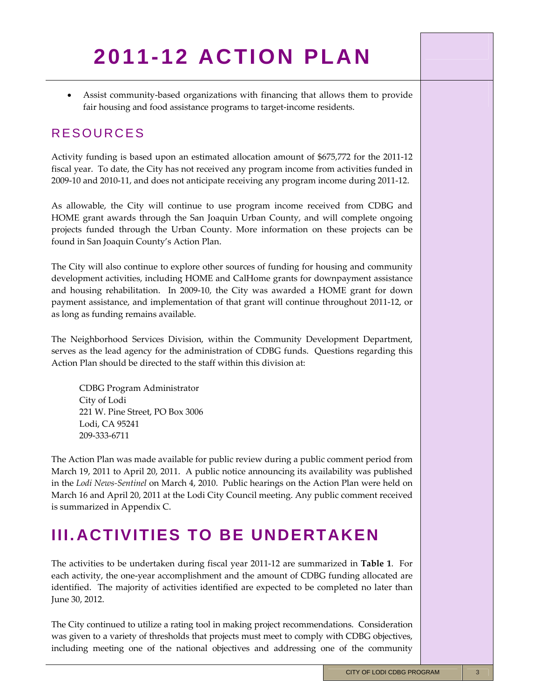• Assist community‐based organizations with financing that allows them to provide fair housing and food assistance programs to target-income residents.

## RESOURCES

Activity funding is based upon an estimated allocation amount of \$675,772 for the 2011‐12 fiscal year. To date, the City has not received any program income from activities funded in 2009‐10 and 2010‐11, and does not anticipate receiving any program income during 2011‐12.

As allowable, the City will continue to use program income received from CDBG and HOME grant awards through the San Joaquin Urban County, and will complete ongoing projects funded through the Urban County. More information on these projects can be found in San Joaquin County's Action Plan.

The City will also continue to explore other sources of funding for housing and community development activities, including HOME and CalHome grants for downpayment assistance and housing rehabilitation. In 2009‐10, the City was awarded a HOME grant for down payment assistance, and implementation of that grant will continue throughout 2011‐12, or as long as funding remains available.

The Neighborhood Services Division, within the Community Development Department, serves as the lead agency for the administration of CDBG funds. Questions regarding this Action Plan should be directed to the staff within this division at:

CDBG Program Administrator City of Lodi 221 W. Pine Street, PO Box 3006 Lodi, CA 95241 209‐333‐6711

The Action Plan was made available for public review during a public comment period from March 19, 2011 to April 20, 2011. A public notice announcing its availability was published in the *Lodi News‐Sentinel* on March 4, 2010. Public hearings on the Action Plan were held on March 16 and April 20, 2011 at the Lodi City Council meeting. Any public comment received is summarized in Appendix C.

## **III. ACTIVITIES TO BE UNDERTAKEN**

The activities to be undertaken during fiscal year 2011‐12 are summarized in **Table 1**. For each activity, the one-year accomplishment and the amount of CDBG funding allocated are identified. The majority of activities identified are expected to be completed no later than June 30, 2012.

The City continued to utilize a rating tool in making project recommendations. Consideration was given to a variety of thresholds that projects must meet to comply with CDBG objectives, including meeting one of the national objectives and addressing one of the community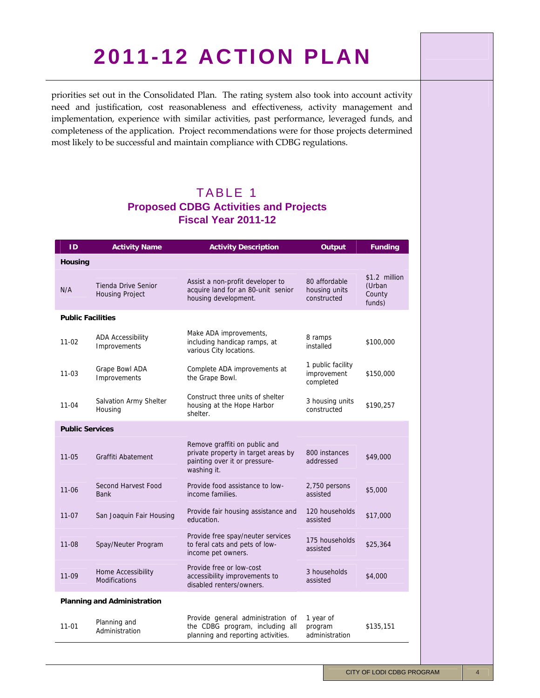priorities set out in the Consolidated Plan. The rating system also took into account activity need and justification, cost reasonableness and effectiveness, activity management and implementation, experience with similar activities, past performance, leveraged funds, and completeness of the application. Project recommendations were for those projects determined most likely to be successful and maintain compliance with CDBG regulations.

### TABLE 1 **Proposed CDBG Activities and Projects Fiscal Year 2011-12**

| ID                       | <b>Activity Name</b>                                 | <b>Activity Description</b>                                                                                          | Output                                        | <b>Funding</b>                              |
|--------------------------|------------------------------------------------------|----------------------------------------------------------------------------------------------------------------------|-----------------------------------------------|---------------------------------------------|
| <b>Housing</b>           |                                                      |                                                                                                                      |                                               |                                             |
| N/A                      | <b>Tienda Drive Senior</b><br><b>Housing Project</b> | Assist a non-profit developer to<br>acquire land for an 80-unit senior<br>housing development.                       | 80 affordable<br>housing units<br>constructed | \$1.2 million<br>(Urban<br>County<br>funds) |
| <b>Public Facilities</b> |                                                      |                                                                                                                      |                                               |                                             |
| $11 - 02$                | <b>ADA Accessibility</b><br>Improvements             | Make ADA improvements,<br>8 ramps<br>including handicap ramps, at<br>installed<br>various City locations.            |                                               | \$100,000                                   |
| $11 - 03$                | Grape Bowl ADA<br>Improvements                       | Complete ADA improvements at<br>the Grape Bowl.                                                                      | 1 public facility<br>improvement<br>completed | \$150,000                                   |
| $11 - 04$                | Salvation Army Shelter<br>Housing                    | Construct three units of shelter<br>housing at the Hope Harbor<br>shelter.                                           | 3 housing units<br>constructed                | \$190,257                                   |
| <b>Public Services</b>   |                                                      |                                                                                                                      |                                               |                                             |
| $11 - 05$                | Graffiti Abatement                                   | Remove graffiti on public and<br>private property in target areas by<br>painting over it or pressure-<br>washing it. | 800 instances<br>addressed                    | \$49,000                                    |
| $11 - 06$                | Second Harvest Food<br><b>Bank</b>                   | Provide food assistance to low-<br>income families.                                                                  | 2,750 persons<br>assisted                     | \$5,000                                     |
| $11-07$                  | San Joaquin Fair Housing                             | Provide fair housing assistance and<br>education.                                                                    | 120 households<br>assisted                    | \$17,000                                    |
| $11 - 08$                | Spay/Neuter Program                                  | Provide free spay/neuter services<br>to feral cats and pets of low-<br>income pet owners.                            | 175 households<br>assisted                    | \$25,364                                    |
| $11 - 09$                | Home Accessibility<br><b>Modifications</b>           | Provide free or low-cost<br>accessibility improvements to<br>disabled renters/owners.                                | 3 households<br>assisted                      | \$4,000                                     |
|                          | <b>Planning and Administration</b>                   |                                                                                                                      |                                               |                                             |
| 11-01                    | Planning and<br>Administration                       | Provide general administration of<br>the CDBG program, including all<br>planning and reporting activities.           | 1 year of<br>program<br>administration        | \$135,151                                   |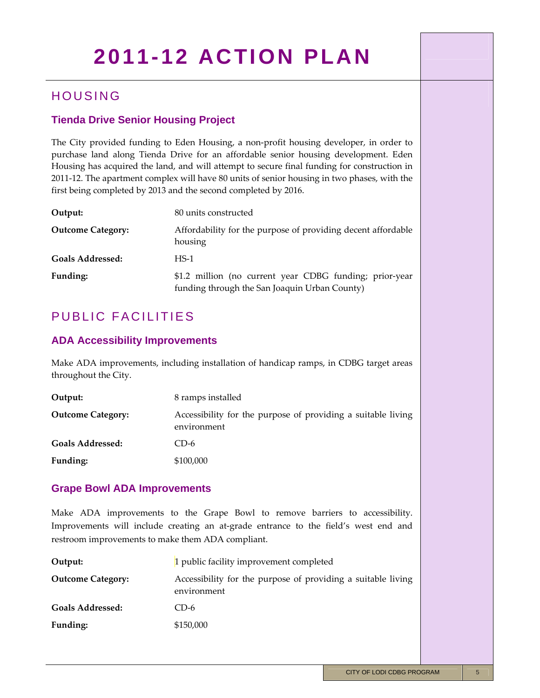## HOUSING

### **Tienda Drive Senior Housing Project**

The City provided funding to Eden Housing, a non-profit housing developer, in order to purchase land along Tienda Drive for an affordable senior housing development. Eden Housing has acquired the land, and will attempt to secure final funding for construction in 2011-12. The apartment complex will have 80 units of senior housing in two phases, with the first being completed by 2013 and the second completed by 2016.

| Output:                  | 80 units constructed                                                                                     |
|--------------------------|----------------------------------------------------------------------------------------------------------|
| <b>Outcome Category:</b> | Affordability for the purpose of providing decent affordable<br>housing                                  |
| <b>Goals Addressed:</b>  | $HS-1$                                                                                                   |
| Funding:                 | \$1.2 million (no current year CDBG funding; prior-year<br>funding through the San Joaquin Urban County) |

## PUBLIC FACILITIES

### **ADA Accessibility Improvements**

Make ADA improvements, including installation of handicap ramps, in CDBG target areas throughout the City.

| Output:                  | 8 ramps installed                                                           |
|--------------------------|-----------------------------------------------------------------------------|
| <b>Outcome Category:</b> | Accessibility for the purpose of providing a suitable living<br>environment |
| Goals Addressed:         | CD-6                                                                        |
| Funding:                 | \$100,000                                                                   |

#### **Grape Bowl ADA Improvements**

Make ADA improvements to the Grape Bowl to remove barriers to accessibility. Improvements will include creating an at-grade entrance to the field's west end and restroom improvements to make them ADA compliant.

| Output:                  | 1 public facility improvement completed                                     |
|--------------------------|-----------------------------------------------------------------------------|
| <b>Outcome Category:</b> | Accessibility for the purpose of providing a suitable living<br>environment |
| Goals Addressed:         | CD-6                                                                        |
| Funding:                 | \$150,000                                                                   |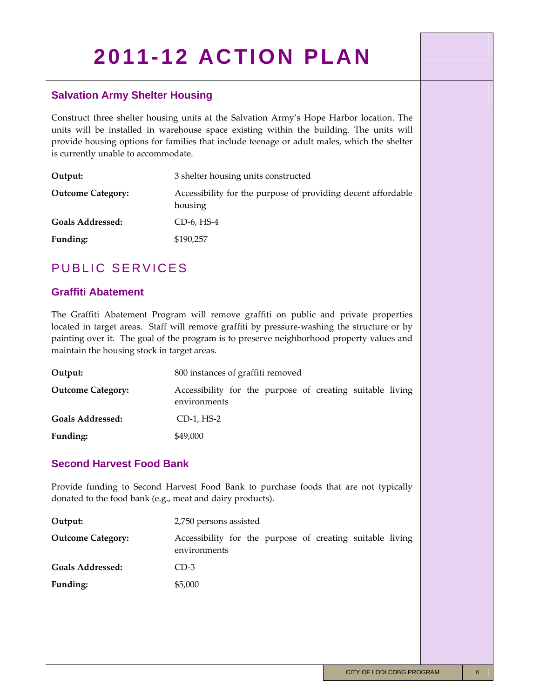### **Salvation Army Shelter Housing**

Construct three shelter housing units at the Salvation Army's Hope Harbor location. The units will be installed in warehouse space existing within the building. The units will provide housing options for families that include teenage or adult males, which the shelter is currently unable to accommodate.

| 3 shelter housing units constructed                                     |
|-------------------------------------------------------------------------|
| Accessibility for the purpose of providing decent affordable<br>housing |
| CD-6, HS-4                                                              |
| \$190,257                                                               |
|                                                                         |

## PUBLIC SERVICES

#### **Graffiti Abatement**

The Graffiti Abatement Program will remove graffiti on public and private properties located in target areas. Staff will remove graffiti by pressure‐washing the structure or by painting over it. The goal of the program is to preserve neighborhood property values and maintain the housing stock in target areas.

| Output:                  | 800 instances of graffiti removed                                         |  |
|--------------------------|---------------------------------------------------------------------------|--|
| <b>Outcome Category:</b> | Accessibility for the purpose of creating suitable living<br>environments |  |
| Goals Addressed:         | CD-1, HS-2                                                                |  |
| Funding:                 | \$49,000                                                                  |  |

#### **Second Harvest Food Bank**

Provide funding to Second Harvest Food Bank to purchase foods that are not typically donated to the food bank (e.g., meat and dairy products).

| Output:                  | 2,750 persons assisted                                                    |  |
|--------------------------|---------------------------------------------------------------------------|--|
| <b>Outcome Category:</b> | Accessibility for the purpose of creating suitable living<br>environments |  |
| Goals Addressed:         | $CD-3$                                                                    |  |
| Funding:                 | \$5,000                                                                   |  |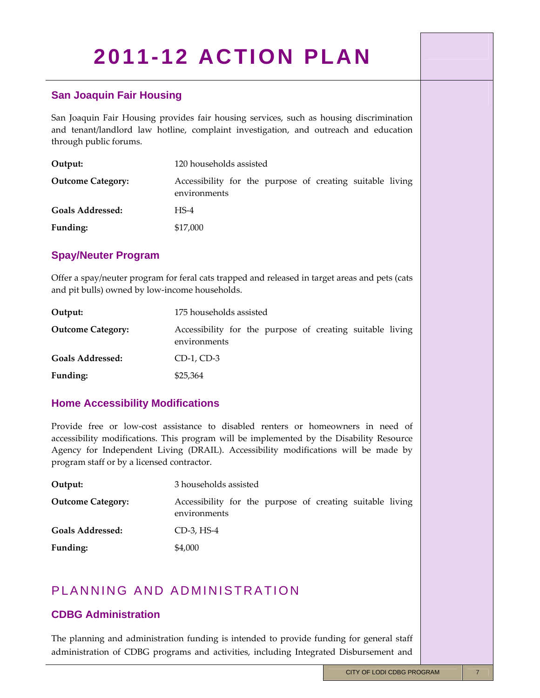### **San Joaquin Fair Housing**

San Joaquin Fair Housing provides fair housing services, such as housing discrimination and tenant/landlord law hotline, complaint investigation, and outreach and education through public forums.

| Output:                  | 120 households assisted                                                   |  |
|--------------------------|---------------------------------------------------------------------------|--|
| <b>Outcome Category:</b> | Accessibility for the purpose of creating suitable living<br>environments |  |
| Goals Addressed:         | $HS-4$                                                                    |  |
| Funding:                 | \$17,000                                                                  |  |

### **Spay/Neuter Program**

Offer a spay/neuter program for feral cats trapped and released in target areas and pets (cats and pit bulls) owned by low‐income households.

| Output:                  | 175 households assisted                                                   |  |
|--------------------------|---------------------------------------------------------------------------|--|
| <b>Outcome Category:</b> | Accessibility for the purpose of creating suitable living<br>environments |  |
| Goals Addressed:         | $CD-1$ , $CD-3$                                                           |  |
| Funding:                 | \$25,364                                                                  |  |

### **Home Accessibility Modifications**

Provide free or low‐cost assistance to disabled renters or homeowners in need of accessibility modifications. This program will be implemented by the Disability Resource Agency for Independent Living (DRAIL). Accessibility modifications will be made by program staff or by a licensed contractor.

| Output:                  | 3 households assisted                                                     |  |
|--------------------------|---------------------------------------------------------------------------|--|
| <b>Outcome Category:</b> | Accessibility for the purpose of creating suitable living<br>environments |  |
| Goals Addressed:         | CD-3, HS-4                                                                |  |
| Funding:                 | \$4,000                                                                   |  |

## PLANNING AND ADMINISTRATION

### **CDBG Administration**

The planning and administration funding is intended to provide funding for general staff administration of CDBG programs and activities, including Integrated Disbursement and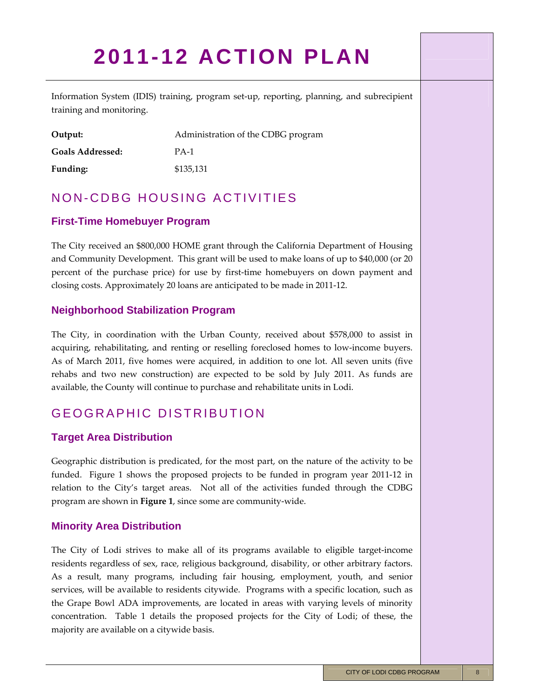Information System (IDIS) training, program set‐up, reporting, planning, and subrecipient training and monitoring.

| Output:          | Administration of the CDBG program |
|------------------|------------------------------------|
| Goals Addressed: | $PA-1$                             |
| Funding:         | \$135,131                          |

## NON-CDBG HOUSING ACTIVITIES

### **First-Time Homebuyer Program**

The City received an \$800,000 HOME grant through the California Department of Housing and Community Development. This grant will be used to make loans of up to \$40,000 (or 20 percent of the purchase price) for use by first-time homebuyers on down payment and closing costs. Approximately 20 loans are anticipated to be made in 2011‐12.

#### **Neighborhood Stabilization Program**

The City, in coordination with the Urban County, received about \$578,000 to assist in acquiring, rehabilitating, and renting or reselling foreclosed homes to low‐income buyers. As of March 2011, five homes were acquired, in addition to one lot. All seven units (five rehabs and two new construction) are expected to be sold by July 2011. As funds are available, the County will continue to purchase and rehabilitate units in Lodi.

## GEOGRAPHIC DISTRIBUTION

### **Target Area Distribution**

Geographic distribution is predicated, for the most part, on the nature of the activity to be funded. Figure 1 shows the proposed projects to be funded in program year 2011-12 in relation to the City's target areas. Not all of the activities funded through the CDBG program are shown in **Figure 1**, since some are community‐wide.

### **Minority Area Distribution**

The City of Lodi strives to make all of its programs available to eligible target‐income residents regardless of sex, race, religious background, disability, or other arbitrary factors. As a result, many programs, including fair housing, employment, youth, and senior services, will be available to residents citywide. Programs with a specific location, such as the Grape Bowl ADA improvements, are located in areas with varying levels of minority concentration. Table 1 details the proposed projects for the City of Lodi; of these, the majority are available on a citywide basis.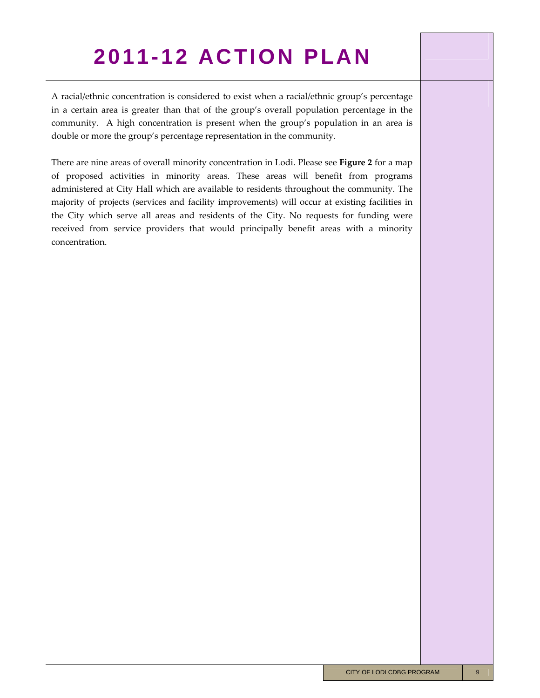A racial/ethnic concentration is considered to exist when a racial/ethnic group's percentage in a certain area is greater than that of the group's overall population percentage in the community. A high concentration is present when the group's population in an area is double or more the group's percentage representation in the community.

There are nine areas of overall minority concentration in Lodi. Please see **Figure 2** for a map of proposed activities in minority areas. These areas will benefit from programs administered at City Hall which are available to residents throughout the community. The majority of projects (services and facility improvements) will occur at existing facilities in the City which serve all areas and residents of the City. No requests for funding were received from service providers that would principally benefit areas with a minority concentration.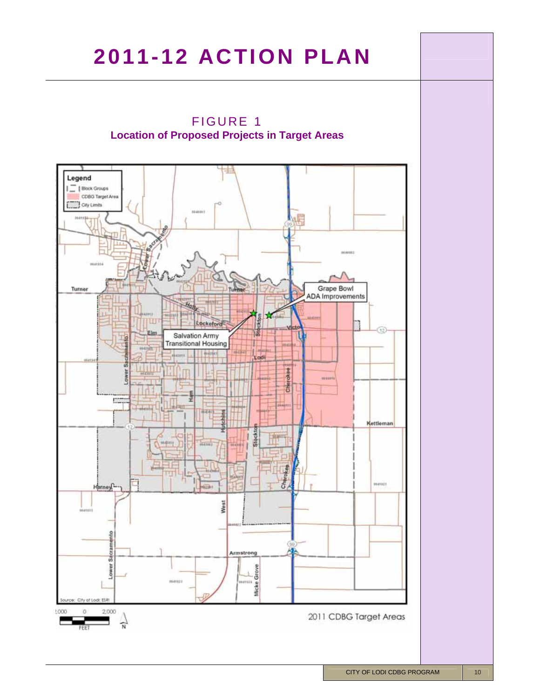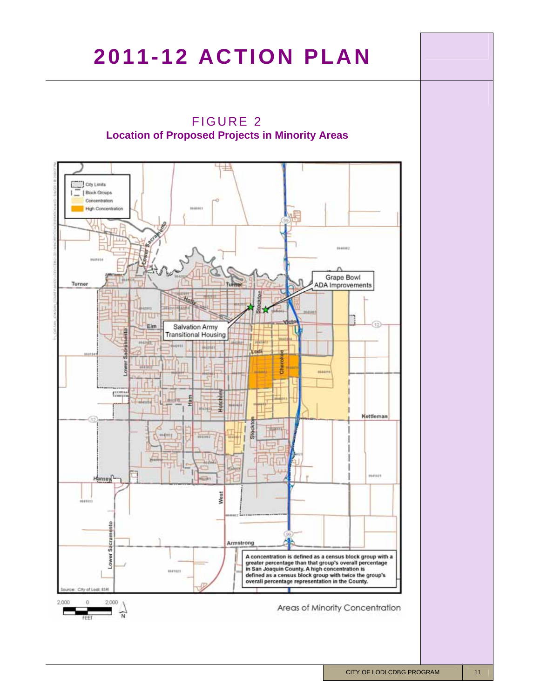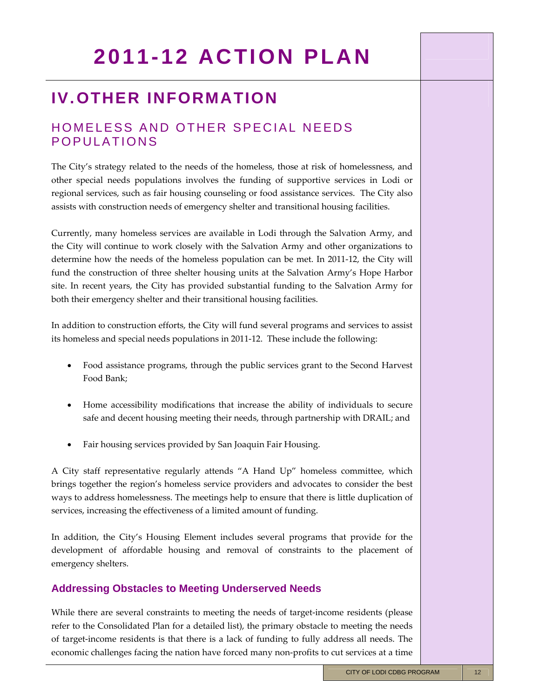## **IV. OTHER INFORMATION**

## HOMELESS AND OTHER SPECIAL NEEDS POPULATIONS

The City's strategy related to the needs of the homeless, those at risk of homelessness, and other special needs populations involves the funding of supportive services in Lodi or regional services, such as fair housing counseling or food assistance services. The City also assists with construction needs of emergency shelter and transitional housing facilities.

Currently, many homeless services are available in Lodi through the Salvation Army, and the City will continue to work closely with the Salvation Army and other organizations to determine how the needs of the homeless population can be met. In 2011‐12, the City will fund the construction of three shelter housing units at the Salvation Army's Hope Harbor site. In recent years, the City has provided substantial funding to the Salvation Army for both their emergency shelter and their transitional housing facilities.

In addition to construction efforts, the City will fund several programs and services to assist its homeless and special needs populations in 2011‐12. These include the following:

- Food assistance programs, through the public services grant to the Second Harvest Food Bank;
- Home accessibility modifications that increase the ability of individuals to secure safe and decent housing meeting their needs, through partnership with DRAIL; and
- Fair housing services provided by San Joaquin Fair Housing.

A City staff representative regularly attends "A Hand Up" homeless committee, which brings together the region's homeless service providers and advocates to consider the best ways to address homelessness. The meetings help to ensure that there is little duplication of services, increasing the effectiveness of a limited amount of funding.

In addition, the City's Housing Element includes several programs that provide for the development of affordable housing and removal of constraints to the placement of emergency shelters.

### **Addressing Obstacles to Meeting Underserved Needs**

While there are several constraints to meeting the needs of target-income residents (please refer to the Consolidated Plan for a detailed list), the primary obstacle to meeting the needs of target‐income residents is that there is a lack of funding to fully address all needs. The economic challenges facing the nation have forced many non‐profits to cut services at a time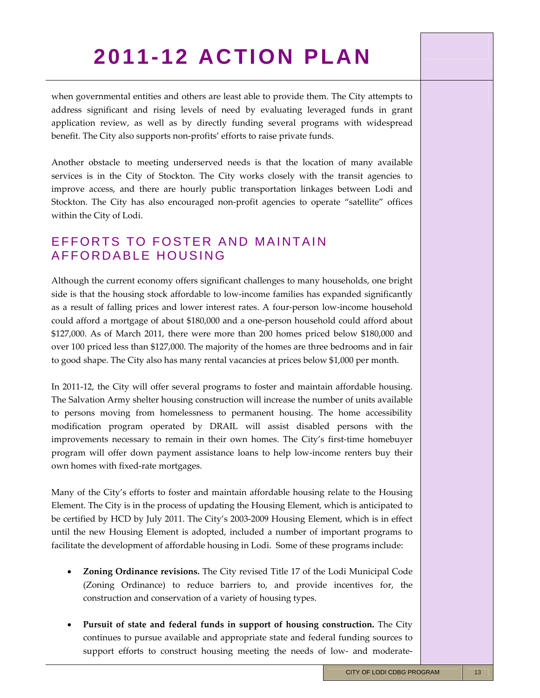when governmental entities and others are least able to provide them. The City attempts to address significant and rising levels of need by evaluating leveraged funds in grant application review, as well as by directly funding several programs with widespread benefit. The City also supports non‐profits' efforts to raise private funds.

Another obstacle to meeting underserved needs is that the location of many available services is in the City of Stockton. The City works closely with the transit agencies to improve access, and there are hourly public transportation linkages between Lodi and Stockton. The City has also encouraged non-profit agencies to operate "satellite" offices within the City of Lodi.

## EFFORTS TO FOSTER AND MAINTAIN AFFORDABLE HOUSING

Although the current economy offers significant challenges to many households, one bright side is that the housing stock affordable to low‐income families has expanded significantly as a result of falling prices and lower interest rates. A four‐person low‐income household could afford a mortgage of about \$180,000 and a one‐person household could afford about \$127,000. As of March 2011, there were more than 200 homes priced below \$180,000 and over 100 priced less than \$127,000. The majority of the homes are three bedrooms and in fair to good shape. The City also has many rental vacancies at prices below \$1,000 per month.

In 2011-12, the City will offer several programs to foster and maintain affordable housing. The Salvation Army shelter housing construction will increase the number of units available to persons moving from homelessness to permanent housing. The home accessibility modification program operated by DRAIL will assist disabled persons with the improvements necessary to remain in their own homes. The City's first-time homebuyer program will offer down payment assistance loans to help low‐income renters buy their own homes with fixed‐rate mortgages.

Many of the City's efforts to foster and maintain affordable housing relate to the Housing Element. The City is in the process of updating the Housing Element, which is anticipated to be certified by HCD by July 2011. The City's 2003‐2009 Housing Element, which is in effect until the new Housing Element is adopted, included a number of important programs to facilitate the development of affordable housing in Lodi. Some of these programs include:

- **Zoning Ordinance revisions.** The City revised Title 17 of the Lodi Municipal Code (Zoning Ordinance) to reduce barriers to, and provide incentives for, the construction and conservation of a variety of housing types.
- **Pursuit of state and federal funds in support of housing construction.** The City continues to pursue available and appropriate state and federal funding sources to support efforts to construct housing meeting the needs of low- and moderate–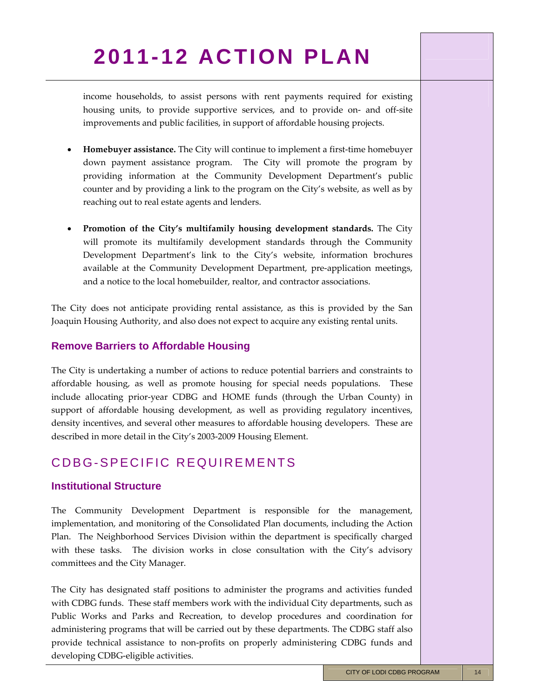income households, to assist persons with rent payments required for existing housing units, to provide supportive services, and to provide on‐ and off‐site improvements and public facilities, in support of affordable housing projects.

- **Homebuyer assistance.** The City will continue to implement a first-time homebuyer down payment assistance program. The City will promote the program by providing information at the Community Development Department's public counter and by providing a link to the program on the City's website, as well as by reaching out to real estate agents and lenders.
- **Promotion of the City's multifamily housing development standards.** The City will promote its multifamily development standards through the Community Development Department's link to the City's website, information brochures available at the Community Development Department, pre‐application meetings, and a notice to the local homebuilder, realtor, and contractor associations.

The City does not anticipate providing rental assistance, as this is provided by the San Joaquin Housing Authority, and also does not expect to acquire any existing rental units.

#### **Remove Barriers to Affordable Housing**

The City is undertaking a number of actions to reduce potential barriers and constraints to affordable housing, as well as promote housing for special needs populations. These include allocating prior‐year CDBG and HOME funds (through the Urban County) in support of affordable housing development, as well as providing regulatory incentives, density incentives, and several other measures to affordable housing developers. These are described in more detail in the City's 2003‐2009 Housing Element.

## CDBG-SPECIFIC REQUIREMENTS

#### **Institutional Structure**

The Community Development Department is responsible for the management, implementation, and monitoring of the Consolidated Plan documents, including the Action Plan. The Neighborhood Services Division within the department is specifically charged with these tasks. The division works in close consultation with the City's advisory committees and the City Manager.

The City has designated staff positions to administer the programs and activities funded with CDBG funds. These staff members work with the individual City departments, such as Public Works and Parks and Recreation, to develop procedures and coordination for administering programs that will be carried out by these departments. The CDBG staff also provide technical assistance to non‐profits on properly administering CDBG funds and developing CDBG‐eligible activities.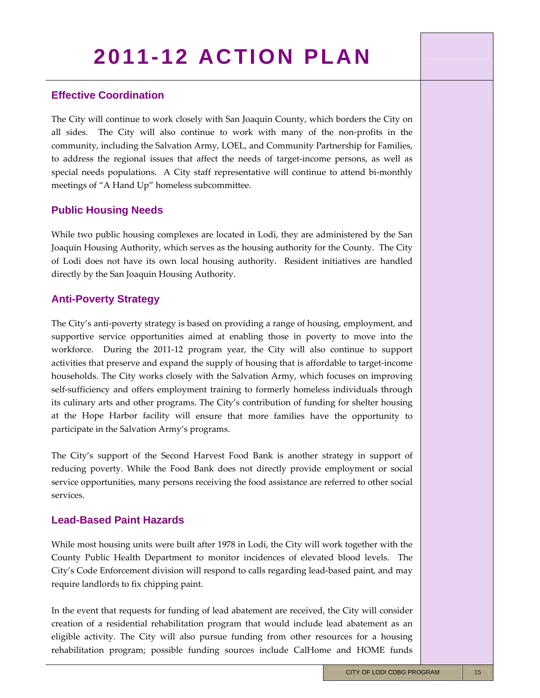### **Effective Coordination**

The City will continue to work closely with San Joaquin County, which borders the City on all sides. The City will also continue to work with many of the non‐profits in the community, including the Salvation Army, LOEL, and Community Partnership for Families, to address the regional issues that affect the needs of target‐income persons, as well as special needs populations. A City staff representative will continue to attend bi-monthly meetings of "A Hand Up" homeless subcommittee.

#### **Public Housing Needs**

While two public housing complexes are located in Lodi, they are administered by the San Joaquin Housing Authority, which serves as the housing authority for the County. The City of Lodi does not have its own local housing authority. Resident initiatives are handled directly by the San Joaquin Housing Authority.

#### **Anti-Poverty Strategy**

The City's anti-poverty strategy is based on providing a range of housing, employment, and supportive service opportunities aimed at enabling those in poverty to move into the workforce. During the 2011-12 program year, the City will also continue to support activities that preserve and expand the supply of housing that is affordable to target‐income households. The City works closely with the Salvation Army, which focuses on improving self-sufficiency and offers employment training to formerly homeless individuals through its culinary arts and other programs. The City's contribution of funding for shelter housing at the Hope Harbor facility will ensure that more families have the opportunity to participate in the Salvation Army's programs.

The City's support of the Second Harvest Food Bank is another strategy in support of reducing poverty. While the Food Bank does not directly provide employment or social service opportunities, many persons receiving the food assistance are referred to other social services.

#### **Lead-Based Paint Hazards**

While most housing units were built after 1978 in Lodi, the City will work together with the County Public Health Department to monitor incidences of elevated blood levels. The City's Code Enforcement division will respond to calls regarding lead‐based paint, and may require landlords to fix chipping paint.

In the event that requests for funding of lead abatement are received, the City will consider creation of a residential rehabilitation program that would include lead abatement as an eligible activity. The City will also pursue funding from other resources for a housing rehabilitation program; possible funding sources include CalHome and HOME funds